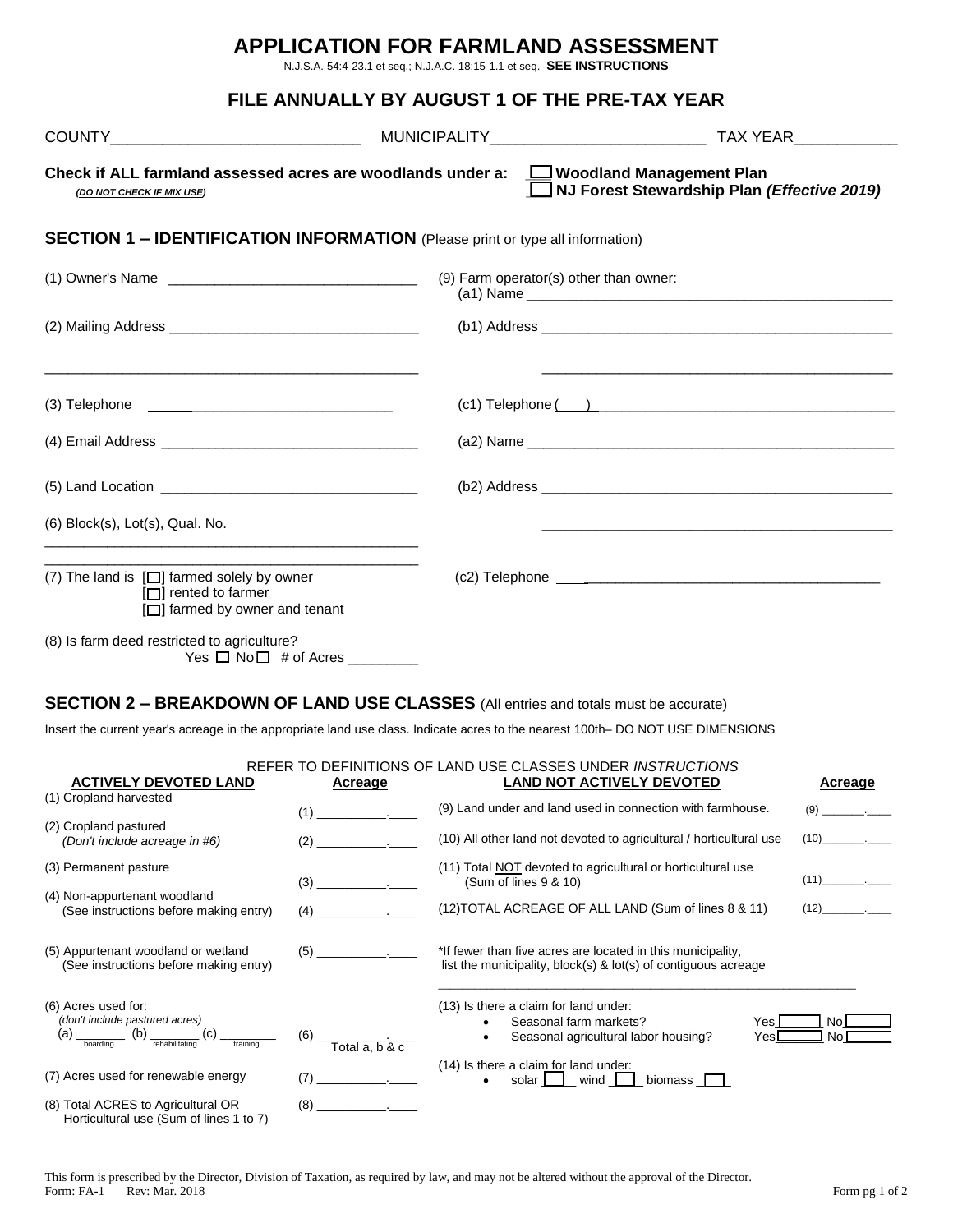|                                                                                                                                                                                                                                     | <b>APPLICATION FOR FARMLAND ASSESSMENT</b><br>N.J.S.A. 54:4-23.1 et seq.; N.J.A.C. 18:15-1.1 et seq. SEE INSTRUCTIONS |                                             |  |
|-------------------------------------------------------------------------------------------------------------------------------------------------------------------------------------------------------------------------------------|-----------------------------------------------------------------------------------------------------------------------|---------------------------------------------|--|
|                                                                                                                                                                                                                                     | FILE ANNUALLY BY AUGUST 1 OF THE PRE-TAX YEAR                                                                         |                                             |  |
|                                                                                                                                                                                                                                     |                                                                                                                       |                                             |  |
| Check if ALL farmland assessed acres are woodlands under a: $\square$ Woodland Management Plan<br>(DO NOT CHECK IF MIX USE)                                                                                                         |                                                                                                                       | NJ Forest Stewardship Plan (Effective 2019) |  |
| <b>SECTION 1 - IDENTIFICATION INFORMATION</b> (Please print or type all information)                                                                                                                                                |                                                                                                                       |                                             |  |
|                                                                                                                                                                                                                                     |                                                                                                                       |                                             |  |
|                                                                                                                                                                                                                                     |                                                                                                                       |                                             |  |
|                                                                                                                                                                                                                                     |                                                                                                                       | $(c1)$ Telephone $( )$                      |  |
|                                                                                                                                                                                                                                     |                                                                                                                       |                                             |  |
|                                                                                                                                                                                                                                     |                                                                                                                       |                                             |  |
| $(6)$ Block $(s)$ , Lot $(s)$ , Qual. No.<br><u> 2008 - 2008 - 2008 - 2008 - 2008 - 2008 - 2008 - 2008 - 2008 - 2008 - 2008 - 2008 - 2008 - 2008 - 2008 - 200</u>                                                                   |                                                                                                                       |                                             |  |
| <u> 1989 - Johann Stein, markin film ar yn y brenin y brenin y brenin y brenin y brenin y brenin y brenin y breni</u><br>(7) The land is $\Box$ farmed solely by owner<br>$\Box$ rented to farmer<br>[□] farmed by owner and tenant |                                                                                                                       |                                             |  |
| (8) Is farm deed restricted to agriculture?                                                                                                                                                                                         |                                                                                                                       |                                             |  |

# **SECTION 2 – BREAKDOWN OF LAND USE CLASSES** (All entries and totals must be accurate)

Insert the current year's acreage in the appropriate land use class. Indicate acres to the nearest 100th– DO NOT USE DIMENSIONS

| <b>ACTIVELY DEVOTED LAND</b>                                                  | Acreage                           | REFER TO DEFINITIONS OF LAND USE CLASSES UNDER INSTRUCTIONS<br><b>LAND NOT ACTIVELY DEVOTED</b>                               | Acreage  |
|-------------------------------------------------------------------------------|-----------------------------------|-------------------------------------------------------------------------------------------------------------------------------|----------|
| (1) Cropland harvested                                                        |                                   |                                                                                                                               |          |
|                                                                               | (1)                               | (9) Land under and land used in connection with farmhouse.                                                                    | $(9)$ .  |
| (2) Cropland pastured                                                         |                                   |                                                                                                                               |          |
| (Don't include acreage in #6)                                                 | (2)                               | (10) All other land not devoted to agricultural / horticultural use                                                           | (10)     |
| (3) Permanent pasture                                                         |                                   | (11) Total NOT devoted to agricultural or horticultural use                                                                   |          |
|                                                                               | (3)                               | (Sum of lines 9 & 10)                                                                                                         | $(11)$ . |
| (4) Non-appurtenant woodland                                                  |                                   | (12) TOTAL ACREAGE OF ALL LAND (Sum of lines 8 & 11)                                                                          | $(12)$ . |
| (See instructions before making entry)                                        | (4)                               |                                                                                                                               |          |
| (5) Appurtenant woodland or wetland<br>(See instructions before making entry) |                                   | *If fewer than five acres are located in this municipality,<br>list the municipality, block(s) & lot(s) of contiguous acreage |          |
| (6) Acres used for:                                                           |                                   | (13) Is there a claim for land under:                                                                                         |          |
| (don't include pastured acres)                                                |                                   | Seasonal farm markets?<br>Yes l                                                                                               | No l     |
| (b)<br>(a)<br>rehabilitating<br>training<br>boarding                          | (6)<br>Total $a, b$ & $c$         | Seasonal agricultural labor housing?<br>Yesl                                                                                  | No.      |
|                                                                               |                                   | (14) Is there a claim for land under:                                                                                         |          |
| (7) Acres used for renewable energy                                           | (7)<br>and the state of the state | solar I I<br>wind $\Box$<br>biomass $\Box$                                                                                    |          |
| (8) Total ACRES to Agricultural OR<br>Horticultural use (Sum of lines 1 to 7) | $(8)$ .                           |                                                                                                                               |          |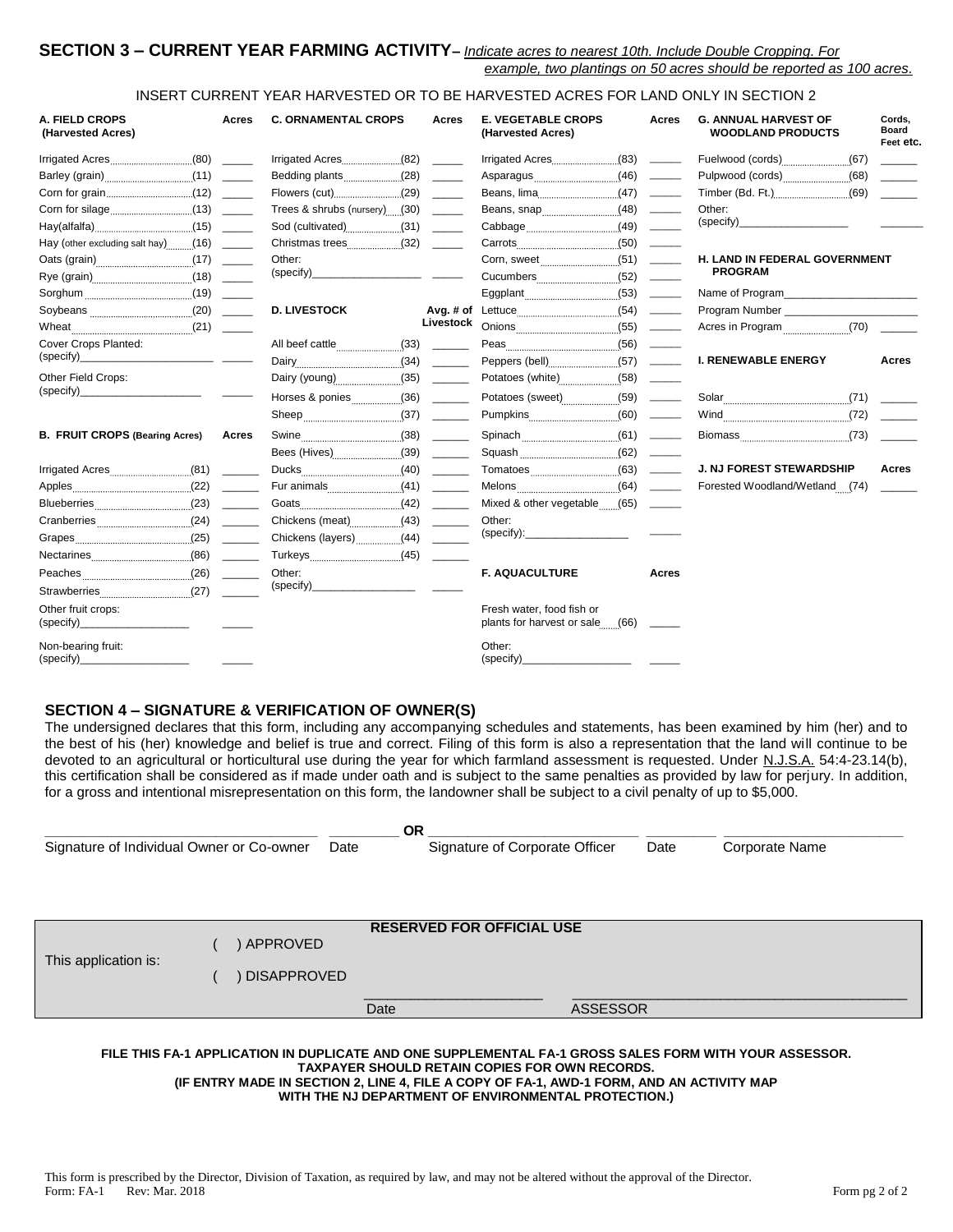## **SECTION 3 – CURRENT YEAR FARMING ACTIVITY–** *Indicate acres to nearest 10th. Include Double Cropping. For example, two plantings on 50 acres should be reported as 100 acres.*

## INSERT CURRENT YEAR HARVESTED OR TO BE HARVESTED ACRES FOR LAND ONLY IN SECTION 2

| A. FIELD CROPS<br>(Harvested Acres)   | Acres | <b>C. ORNAMENTAL CROPS</b>   | Acres     | <b>E. VEGETABLE CROPS</b><br>(Harvested Acres)               | Acres                                                                                                                                                                                                                                                                                                                                                                                                                                                                                  | <b>G. ANNUAL HARVEST OF</b><br><b>WOODLAND PRODUCTS</b> | Cords.<br><b>Board</b><br>Feet etc. |
|---------------------------------------|-------|------------------------------|-----------|--------------------------------------------------------------|----------------------------------------------------------------------------------------------------------------------------------------------------------------------------------------------------------------------------------------------------------------------------------------------------------------------------------------------------------------------------------------------------------------------------------------------------------------------------------------|---------------------------------------------------------|-------------------------------------|
|                                       |       |                              |           |                                                              |                                                                                                                                                                                                                                                                                                                                                                                                                                                                                        |                                                         |                                     |
|                                       |       |                              |           |                                                              | $\begin{tabular}{ccccc} \multicolumn{2}{c }{\textbf{1} & \textbf{2} & \textbf{3} & \textbf{4} & \textbf{5} & \textbf{5} & \textbf{6} & \textbf{7} & \textbf{8} & \textbf{8} & \textbf{9} & \textbf{10} & \textbf{10} & \textbf{10} & \textbf{10} & \textbf{10} & \textbf{10} & \textbf{10} & \textbf{10} & \textbf{10} & \textbf{10} & \textbf{10} & \textbf{10} & \textbf{10} & \textbf{10} & \textbf{10} & \textbf{$                                                                 |                                                         |                                     |
|                                       |       |                              |           |                                                              |                                                                                                                                                                                                                                                                                                                                                                                                                                                                                        |                                                         |                                     |
|                                       |       | Trees & shrubs (nursery)(30) |           |                                                              |                                                                                                                                                                                                                                                                                                                                                                                                                                                                                        | Other:                                                  |                                     |
|                                       |       | Sod (cultivated)(31)         |           |                                                              |                                                                                                                                                                                                                                                                                                                                                                                                                                                                                        | (specify)_                                              |                                     |
| Hay (other excluding salt hay)(16)    |       |                              |           |                                                              | $\sim$                                                                                                                                                                                                                                                                                                                                                                                                                                                                                 |                                                         |                                     |
|                                       |       | Other:                       |           |                                                              |                                                                                                                                                                                                                                                                                                                                                                                                                                                                                        | H. LAND IN FEDERAL GOVERNMENT                           |                                     |
|                                       |       |                              |           |                                                              |                                                                                                                                                                                                                                                                                                                                                                                                                                                                                        | <b>PROGRAM</b>                                          |                                     |
|                                       |       |                              |           |                                                              | $\begin{tabular}{ccccc} \multicolumn{2}{c}{} & \multicolumn{2}{c}{} & \multicolumn{2}{c}{} & \multicolumn{2}{c}{} & \multicolumn{2}{c}{} & \multicolumn{2}{c}{} & \multicolumn{2}{c}{} & \multicolumn{2}{c}{} & \multicolumn{2}{c}{} & \multicolumn{2}{c}{} & \multicolumn{2}{c}{} & \multicolumn{2}{c}{} & \multicolumn{2}{c}{} & \multicolumn{2}{c}{} & \multicolumn{2}{c}{} & \multicolumn{2}{c}{} & \multicolumn{2}{c}{} & \multicolumn{2}{c}{} & \multicolumn{2}{c}{} & \mult$    | Name of Program                                         |                                     |
|                                       |       | <b>D. LIVESTOCK</b>          |           |                                                              |                                                                                                                                                                                                                                                                                                                                                                                                                                                                                        | Program Number <b>Example 20</b>                        |                                     |
|                                       |       |                              | Livestock |                                                              |                                                                                                                                                                                                                                                                                                                                                                                                                                                                                        |                                                         |                                     |
| Cover Crops Planted:                  |       |                              |           |                                                              |                                                                                                                                                                                                                                                                                                                                                                                                                                                                                        |                                                         |                                     |
| (specify)                             |       |                              |           |                                                              |                                                                                                                                                                                                                                                                                                                                                                                                                                                                                        | <b>I. RENEWABLE ENERGY</b>                              | Acres                               |
| Other Field Crops:                    |       |                              |           |                                                              |                                                                                                                                                                                                                                                                                                                                                                                                                                                                                        |                                                         |                                     |
| (specify)                             |       | Horses & ponies(36)          |           |                                                              |                                                                                                                                                                                                                                                                                                                                                                                                                                                                                        |                                                         |                                     |
|                                       |       |                              |           |                                                              |                                                                                                                                                                                                                                                                                                                                                                                                                                                                                        |                                                         |                                     |
| <b>B. FRUIT CROPS (Bearing Acres)</b> | Acres |                              |           |                                                              | $\begin{array}{cccccccccc} \multicolumn{2}{c}{} & \multicolumn{2}{c}{} & \multicolumn{2}{c}{} & \multicolumn{2}{c}{} & \multicolumn{2}{c}{} & \multicolumn{2}{c}{} & \multicolumn{2}{c}{} & \multicolumn{2}{c}{} & \multicolumn{2}{c}{} & \multicolumn{2}{c}{} & \multicolumn{2}{c}{} & \multicolumn{2}{c}{} & \multicolumn{2}{c}{} & \multicolumn{2}{c}{} & \multicolumn{2}{c}{} & \multicolumn{2}{c}{} & \multicolumn{2}{c}{} & \multicolumn{2}{c}{} & \multicolumn{2}{c}{} & \mult$ |                                                         |                                     |
|                                       |       |                              |           |                                                              | $\sim$                                                                                                                                                                                                                                                                                                                                                                                                                                                                                 |                                                         |                                     |
|                                       |       | Ducks $(40)$                 |           |                                                              |                                                                                                                                                                                                                                                                                                                                                                                                                                                                                        | J. NJ FOREST STEWARDSHIP                                | Acres                               |
|                                       |       |                              |           |                                                              |                                                                                                                                                                                                                                                                                                                                                                                                                                                                                        | Forested Woodland/Wetland (74)                          |                                     |
|                                       |       |                              |           |                                                              |                                                                                                                                                                                                                                                                                                                                                                                                                                                                                        |                                                         |                                     |
| Cranberries (24)                      |       | Chickens (meat) (43)         |           | Other:                                                       |                                                                                                                                                                                                                                                                                                                                                                                                                                                                                        |                                                         |                                     |
|                                       |       | Chickens (layers) (44)       |           | (specify):                                                   |                                                                                                                                                                                                                                                                                                                                                                                                                                                                                        |                                                         |                                     |
|                                       |       |                              |           |                                                              |                                                                                                                                                                                                                                                                                                                                                                                                                                                                                        |                                                         |                                     |
|                                       |       | Other:                       |           | <b>F. AQUACULTURE</b>                                        | Acres                                                                                                                                                                                                                                                                                                                                                                                                                                                                                  |                                                         |                                     |
|                                       |       | (specify)                    |           |                                                              |                                                                                                                                                                                                                                                                                                                                                                                                                                                                                        |                                                         |                                     |
| Other fruit crops:<br>(specify)       |       |                              |           | Fresh water, food fish or<br>plants for harvest or sale (66) |                                                                                                                                                                                                                                                                                                                                                                                                                                                                                        |                                                         |                                     |
| Non-bearing fruit:<br>(specify)       |       |                              |           | Other:<br>(specify)                                          |                                                                                                                                                                                                                                                                                                                                                                                                                                                                                        |                                                         |                                     |

## **SECTION 4 – SIGNATURE & VERIFICATION OF OWNER(S)**

The undersigned declares that this form, including any accompanying schedules and statements, has been examined by him (her) and to the best of his (her) knowledge and belief is true and correct. Filing of this form is also a representation that the land will continue to be devoted to an agricultural or horticultural use during the year for which farmland assessment is requested. Under N.J.S.A. 54:4-23.14(b), this certification shall be considered as if made under oath and is subject to the same penalties as provided by law for perjury. In addition, for a gross and intentional misrepresentation on this form, the landowner shall be subject to a civil penalty of up to \$5,000.

|                                           |                    |      | <b>OR</b>                        |                 |      |                |  |
|-------------------------------------------|--------------------|------|----------------------------------|-----------------|------|----------------|--|
| Signature of Individual Owner or Co-owner |                    | Date | Signature of Corporate Officer   |                 | Date | Corporate Name |  |
|                                           |                    |      |                                  |                 |      |                |  |
|                                           |                    |      |                                  |                 |      |                |  |
|                                           |                    |      |                                  |                 |      |                |  |
|                                           |                    |      | <b>RESERVED FOR OFFICIAL USE</b> |                 |      |                |  |
| This application is:                      | APPROVED           |      |                                  |                 |      |                |  |
|                                           |                    |      |                                  |                 |      |                |  |
|                                           | <b>DISAPPROVED</b> |      |                                  |                 |      |                |  |
|                                           |                    | Date |                                  | <b>ASSESSOR</b> |      |                |  |
|                                           |                    |      |                                  |                 |      |                |  |

#### **FILE THIS FA-1 APPLICATION IN DUPLICATE AND ONE SUPPLEMENTAL FA-1 GROSS SALES FORM WITH YOUR ASSESSOR. TAXPAYER SHOULD RETAIN COPIES FOR OWN RECORDS. (IF ENTRY MADE IN SECTION 2, LINE 4, FILE A COPY OF FA-1, AWD-1 FORM, AND AN ACTIVITY MAP WITH THE NJ DEPARTMENT OF ENVIRONMENTAL PROTECTION.)**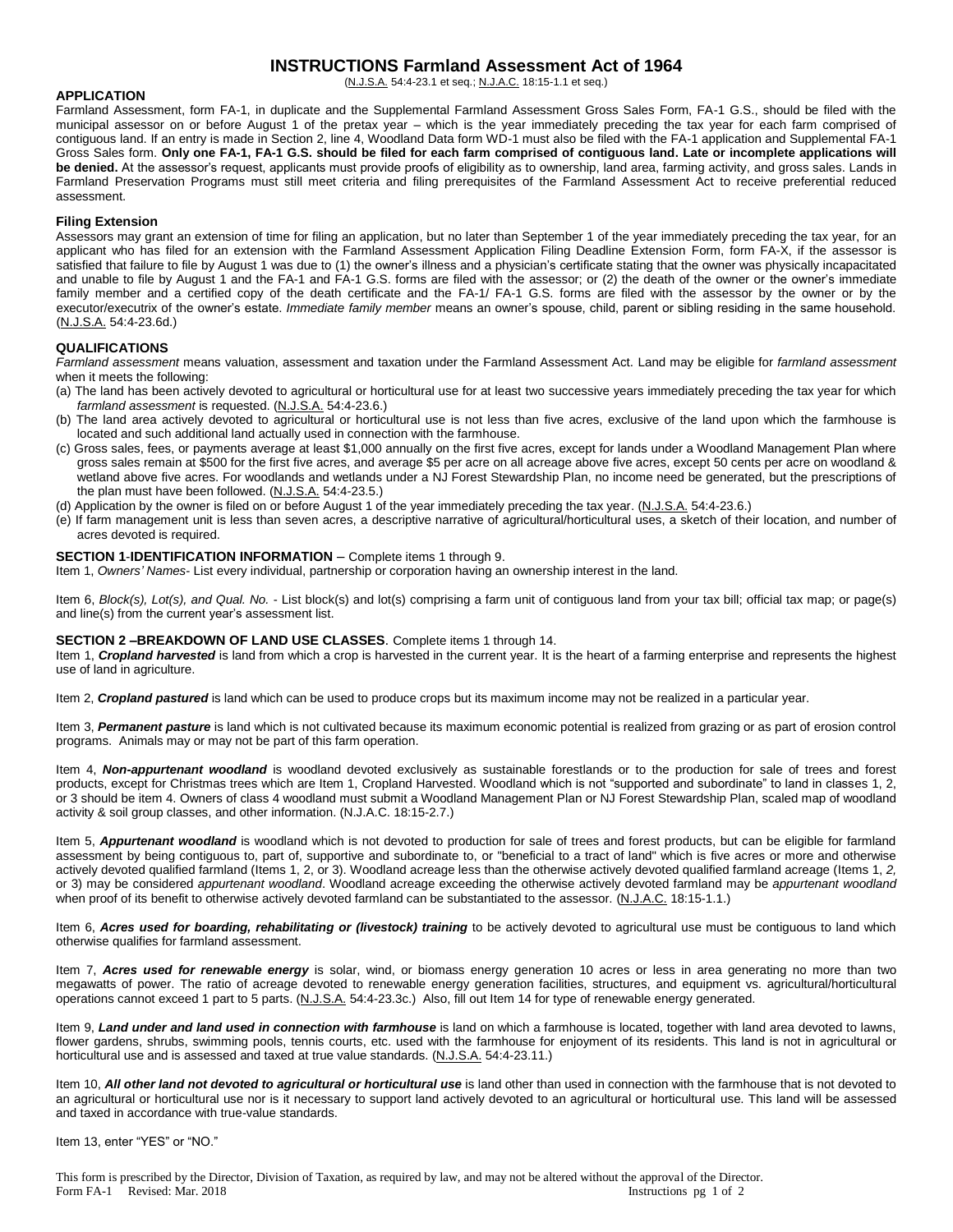## **INSTRUCTIONS Farmland Assessment Act of 1964**

(N.J.S.A. 54:4-23.1 et seq.; N.J.A.C. 18:15-1.1 et seq.)

## **APPLICATION**

Farmland Assessment, form FA-1, in duplicate and the Supplemental Farmland Assessment Gross Sales Form, FA-1 G.S., should be filed with the municipal assessor on or before August 1 of the pretax year – which is the year immediately preceding the tax year for each farm comprised of contiguous land. If an entry is made in Section 2, line 4, Woodland Data form WD-1 must also be filed with the FA-1 application and Supplemental FA-1 Gross Sales form. **Only one FA-1, FA-1 G.S. should be filed for each farm comprised of contiguous land. Late or incomplete applications will be denied.** At the assessor's request, applicants must provide proofs of eligibility as to ownership, land area, farming activity, and gross sales. Lands in Farmland Preservation Programs must still meet criteria and filing prerequisites of the Farmland Assessment Act to receive preferential reduced assessment.

#### **Filing Extension**

Assessors may grant an extension of time for filing an application, but no later than September 1 of the year immediately preceding the tax year, for an applicant who has filed for an extension with the Farmland Assessment Application Filing Deadline Extension Form, form FA-X, if the assessor is satisfied that failure to file by August 1 was due to (1) the owner's illness and a physician's certificate stating that the owner was physically incapacitated and unable to file by August 1 and the FA-1 and FA-1 G.S. forms are filed with the assessor; or (2) the death of the owner or the owner's immediate family member and a certified copy of the death certificate and the FA-1/ FA-1 G.S. forms are filed with the assessor by the owner or by the executor/executrix of the owner's estate. *Immediate family member* means an owner's spouse, child, parent or sibling residing in the same household. (N.J.S.A. 54:4-23.6d.)

## **QUALIFICATIONS**

*Farmland assessment* means valuation, assessment and taxation under the Farmland Assessment Act. Land may be eligible for *farmland assessment* when it meets the following:

- (a) The land has been actively devoted to agricultural or horticultural use for at least two successive years immediately preceding the tax year for which *farmland assessment* is requested. (N.J.S.A. 54:4-23.6.)
- (b) The land area actively devoted to agricultural or horticultural use is not less than five acres, exclusive of the land upon which the farmhouse is located and such additional land actually used in connection with the farmhouse.
- (c) Gross sales, fees, or payments average at least \$1,000 annually on the first five acres, except for lands under a Woodland Management Plan where gross sales remain at \$500 for the first five acres, and average \$5 per acre on all acreage above five acres, except 50 cents per acre on woodland & wetland above five acres. For woodlands and wetlands under a NJ Forest Stewardship Plan, no income need be generated, but the prescriptions of the plan must have been followed. (N.J.S.A. 54:4-23.5.)

(d) Application by the owner is filed on or before August 1 of the year immediately preceding the tax year. (N.J.S.A. 54:4-23.6.)

(e) If farm management unit is less than seven acres, a descriptive narrative of agricultural/horticultural uses, a sketch of their location, and number of acres devoted is required.

#### **SECTION 1**-**IDENTIFICATION INFORMATION** – Complete items 1 through 9.

Item 1, *Owners' Names*- List every individual, partnership or corporation having an ownership interest in the land.

Item 6, *Block(s), Lot(s), and Qual. No.* - List block(s) and lot(s) comprising a farm unit of contiguous land from your tax bill; official tax map; or page(s) and line(s) from the current year's assessment list.

#### **SECTION 2 –BREAKDOWN OF LAND USE CLASSES**. Complete items 1 through 14.

Item 1, **Cropland harvested** is land from which a crop is harvested in the current year. It is the heart of a farming enterprise and represents the highest use of land in agriculture.

Item 2, *Cropland pastured* is land which can be used to produce crops but its maximum income may not be realized in a particular year.

Item 3, *Permanent pasture* is land which is not cultivated because its maximum economic potential is realized from grazing or as part of erosion control programs. Animals may or may not be part of this farm operation.

Item 4, *Non-appurtenant woodland* is woodland devoted exclusively as sustainable forestlands or to the production for sale of trees and forest products, except for Christmas trees which are Item 1, Cropland Harvested. Woodland which is not "supported and subordinate" to land in classes 1, 2, or 3 should be item 4. Owners of class 4 woodland must submit a Woodland Management Plan or NJ Forest Stewardship Plan, scaled map of woodland activity & soil group classes, and other information. (N.J.A.C. 18:15-2.7.)

Item 5, *Appurtenant woodland* is woodland which is not devoted to production for sale of trees and forest products, but can be eligible for farmland assessment by being contiguous to, part of, supportive and subordinate to, or "beneficial to a tract of land" which is five acres or more and otherwise actively devoted qualified farmland (Items 1, 2, or 3). Woodland acreage less than the otherwise actively devoted qualified farmland acreage (Items 1, *2,*  or 3) may be considered *appurtenant woodland*. Woodland acreage exceeding the otherwise actively devoted farmland may be *appurtenant woodland* when proof of its benefit to otherwise actively devoted farmland can be substantiated to the assessor. (N.J.A.C. 18:15-1.1.)

Item 6, *Acres used for boarding, rehabilitating or (livestock) training* to be actively devoted to agricultural use must be contiguous to land which otherwise qualifies for farmland assessment.

Item 7, *Acres used for renewable energy* is solar, wind, or biomass energy generation 10 acres or less in area generating no more than two megawatts of power. The ratio of acreage devoted to renewable energy generation facilities, structures, and equipment vs. agricultural/horticultural operations cannot exceed 1 part to 5 parts. (N.J.S.A. 54:4-23.3c.) Also, fill out Item 14 for type of renewable energy generated.

Item 9, *Land under and land used in connection with farmhouse* is land on which a farmhouse is located, together with land area devoted to lawns, flower gardens, shrubs, swimming pools, tennis courts, etc. used with the farmhouse for enjoyment of its residents. This land is not in agricultural or horticultural use and is assessed and taxed at true value standards. (N.J.S.A. 54:4-23.11.)

Item 10, *All other land not devoted to agricultural or horticultural use* is land other than used in connection with the farmhouse that is not devoted to an agricultural or horticultural use nor is it necessary to support land actively devoted to an agricultural or horticultural use. This land will be assessed and taxed in accordance with true-value standards.

Item 13, enter "YES" or "NO."

This form is prescribed by the Director, Division of Taxation, as required by law, and may not be altered without the approval of the Director. Form FA-1 Revised: Mar. 2018 Instructions pg 1 of 2